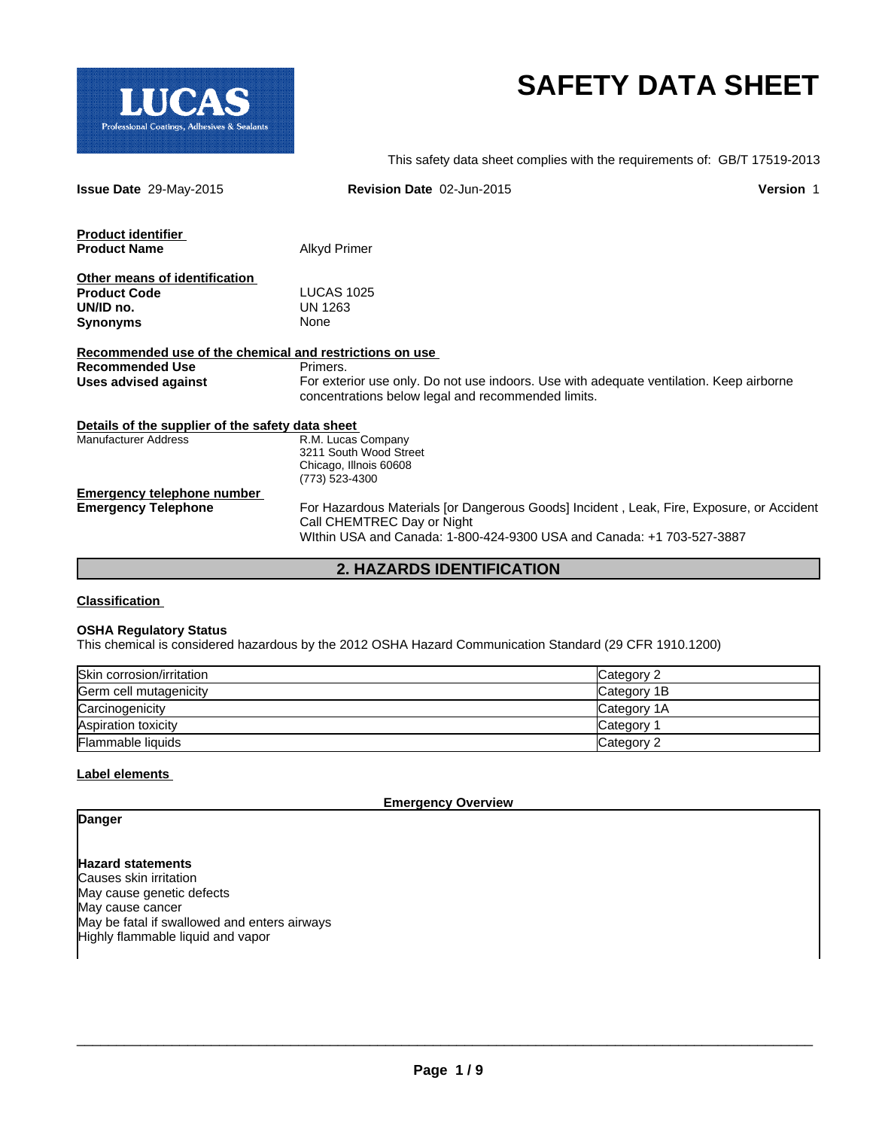

# **SAFETY DATA SHEET**

This safety data sheet complies with the requirements of: GB/T 17519-2013

| <b>Issue Date 29-May-2015</b>                           | Revision Date 02-Jun-2015                                                                                                                     | <b>Version 1</b> |
|---------------------------------------------------------|-----------------------------------------------------------------------------------------------------------------------------------------------|------------------|
| <b>Product identifier</b>                               |                                                                                                                                               |                  |
| <b>Product Name</b>                                     | Alkyd Primer                                                                                                                                  |                  |
| Other means of identification                           |                                                                                                                                               |                  |
| <b>Product Code</b>                                     | <b>LUCAS 1025</b>                                                                                                                             |                  |
| UN/ID no.                                               | UN 1263                                                                                                                                       |                  |
| <b>Synonyms</b>                                         | None                                                                                                                                          |                  |
|                                                         |                                                                                                                                               |                  |
| Recommended use of the chemical and restrictions on use |                                                                                                                                               |                  |
| <b>Recommended Use</b>                                  | Primers.                                                                                                                                      |                  |
| Uses advised against                                    | For exterior use only. Do not use indoors. Use with adequate ventilation. Keep airborne<br>concentrations below legal and recommended limits. |                  |
| Details of the supplier of the safety data sheet        |                                                                                                                                               |                  |
| <b>Manufacturer Address</b>                             | R.M. Lucas Company                                                                                                                            |                  |
|                                                         | 3211 South Wood Street                                                                                                                        |                  |
|                                                         | Chicago, Illnois 60608                                                                                                                        |                  |
|                                                         | (773) 523-4300                                                                                                                                |                  |
| <b>Emergency telephone number</b>                       |                                                                                                                                               |                  |
| <b>Emergency Telephone</b>                              | For Hazardous Materials for Dangerous Goods Incident, Leak, Fire, Exposure, or Accident                                                       |                  |
|                                                         | Call CHEMTREC Day or Night                                                                                                                    |                  |
|                                                         | Within USA and Canada: 1-800-424-9300 USA and Canada: +1 703-527-3887                                                                         |                  |
|                                                         |                                                                                                                                               |                  |

### **2. HAZARDS IDENTIFICATION**

### **Classification**

### **OSHA Regulatory Status**

This chemical is considered hazardous by the 2012 OSHA Hazard Communication Standard (29 CFR 1910.1200)

| Skin corrosion/irritation | Category 2  |
|---------------------------|-------------|
| Germ cell mutagenicity    | Category 1B |
| Carcinogenicity           | Category 1A |
| Aspiration toxicity       | Category    |
| Flammable liquids         | Category 2  |

### **Label elements**

**Emergency Overview**

### **Danger**

**Hazard statements** Causes skin irritation May cause genetic defects May cause cancer May be fatal if swallowed and enters airways Highly flammable liquid and vapor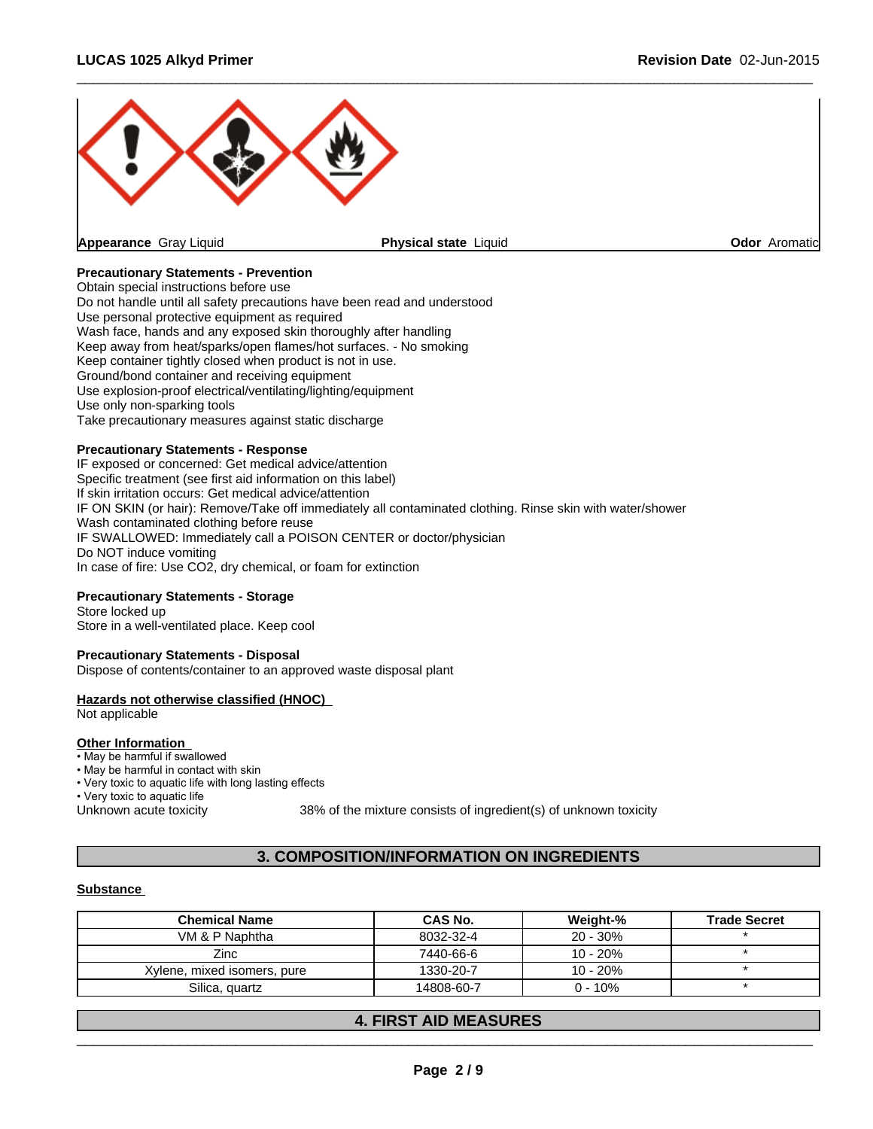

 $\overline{\phantom{a}}$  ,  $\overline{\phantom{a}}$  ,  $\overline{\phantom{a}}$  ,  $\overline{\phantom{a}}$  ,  $\overline{\phantom{a}}$  ,  $\overline{\phantom{a}}$  ,  $\overline{\phantom{a}}$  ,  $\overline{\phantom{a}}$  ,  $\overline{\phantom{a}}$  ,  $\overline{\phantom{a}}$  ,  $\overline{\phantom{a}}$  ,  $\overline{\phantom{a}}$  ,  $\overline{\phantom{a}}$  ,  $\overline{\phantom{a}}$  ,  $\overline{\phantom{a}}$  ,  $\overline{\phantom{a}}$ 

### **Precautionary Statements - Prevention**

Obtain special instructions before use Do not handle until all safety precautions have been read and understood Use personal protective equipment as required Wash face, hands and any exposed skin thoroughly after handling Keep away from heat/sparks/open flames/hot surfaces. - No smoking Keep container tightly closed when product is not in use. Ground/bond container and receiving equipment Use explosion-proof electrical/ventilating/lighting/equipment Use only non-sparking tools Take precautionary measures against static discharge

### **Precautionary Statements - Response**

IF exposed or concerned: Get medical advice/attention Specific treatment (see first aid information on this label) If skin irritation occurs: Get medical advice/attention IF ON SKIN (or hair): Remove/Take off immediately all contaminated clothing. Rinse skin with water/shower Wash contaminated clothing before reuse IF SWALLOWED: Immediately call a POISON CENTER or doctor/physician Do NOT induce vomiting In case of fire: Use CO2, dry chemical, or foam for extinction

### **Precautionary Statements - Storage**

Store locked up Store in a well-ventilated place. Keep cool

#### **Precautionary Statements - Disposal**

Dispose of contents/container to an approved waste disposal plant

#### **Hazards not otherwise classified (HNOC)**

Not applicable

#### **Other Information**

• May be harmful if swallowed

### • May be harmful in contact with skin

• Very toxic to aquatic life with long lasting effects

• Very toxic to aquatic life

Unknown acute toxicity 38% of the mixture consists of ingredient(s) of unknown toxicity

### **3. COMPOSITION/INFORMATION ON INGREDIENTS**

#### **Substance**

| <b>Chemical Name</b>        | CAS No.    | Weight-%    | <b>Trade Secret</b> |
|-----------------------------|------------|-------------|---------------------|
| VM & P Naphtha              | 8032-32-4  | $20 - 30\%$ |                     |
| Zinc                        | 7440-66-6  | $10 - 20%$  |                     |
| Xylene, mixed isomers, pure | 1330-20-7  | $10 - 20%$  |                     |
| Silica, quartz              | 14808-60-7 | $0 - 10\%$  |                     |

### **4. FIRST AID MEASURES**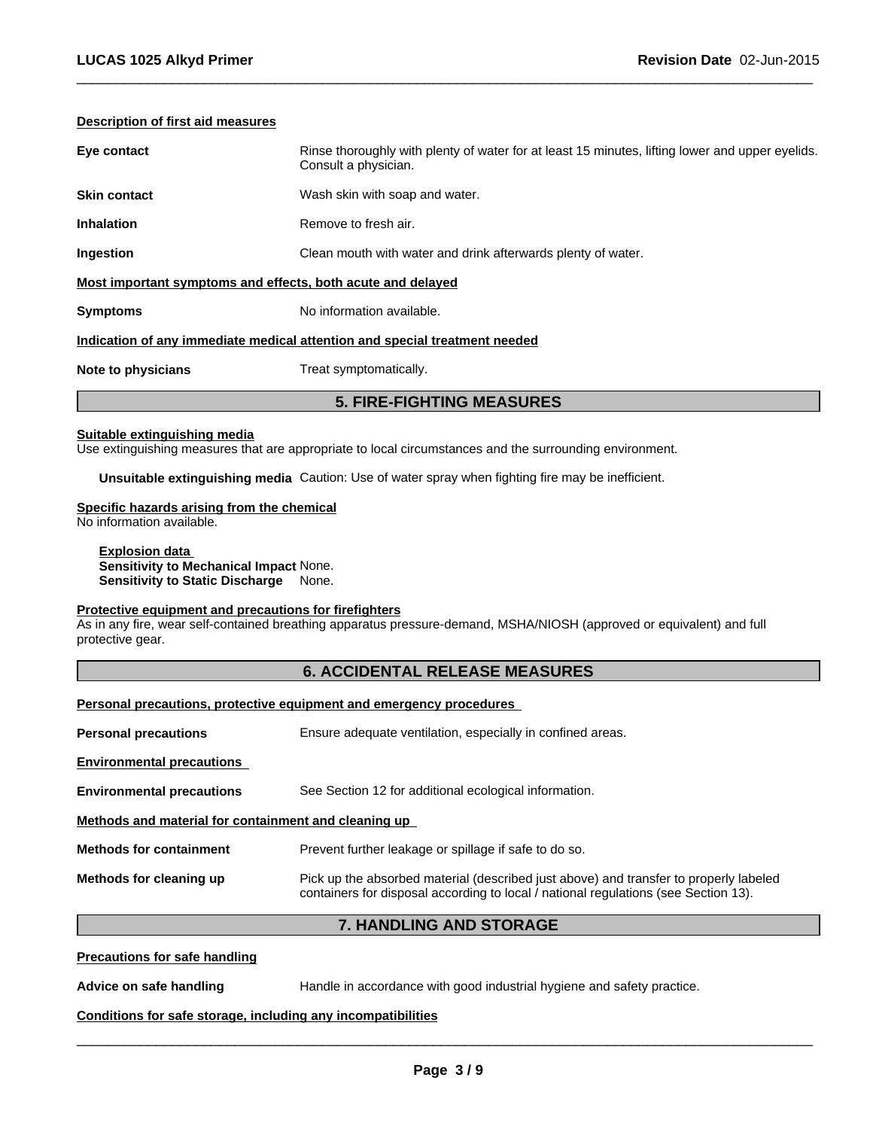### **Description of first aid measures**

| Note to physicians<br>Treat symptomatically.                                                                                           |  |
|----------------------------------------------------------------------------------------------------------------------------------------|--|
| Indication of any immediate medical attention and special treatment needed                                                             |  |
| <b>Symptoms</b><br>No information available.                                                                                           |  |
| Most important symptoms and effects, both acute and delayed                                                                            |  |
| Ingestion<br>Clean mouth with water and drink afterwards plenty of water.                                                              |  |
| Remove to fresh air.<br><b>Inhalation</b>                                                                                              |  |
| <b>Skin contact</b><br>Wash skin with soap and water.                                                                                  |  |
| Eye contact<br>Rinse thoroughly with plenty of water for at least 15 minutes, lifting lower and upper eyelids.<br>Consult a physician. |  |

 $\overline{\phantom{a}}$  ,  $\overline{\phantom{a}}$  ,  $\overline{\phantom{a}}$  ,  $\overline{\phantom{a}}$  ,  $\overline{\phantom{a}}$  ,  $\overline{\phantom{a}}$  ,  $\overline{\phantom{a}}$  ,  $\overline{\phantom{a}}$  ,  $\overline{\phantom{a}}$  ,  $\overline{\phantom{a}}$  ,  $\overline{\phantom{a}}$  ,  $\overline{\phantom{a}}$  ,  $\overline{\phantom{a}}$  ,  $\overline{\phantom{a}}$  ,  $\overline{\phantom{a}}$  ,  $\overline{\phantom{a}}$ 

#### **Suitable extinguishing media**

Use extinguishing measures that are appropriate to local circumstances and the surrounding environment.

**Unsuitable extinguishing media** Caution: Use of water spray when fighting fire may be inefficient.

### **Specific hazards arising from the chemical**

No information available.

**Explosion data Sensitivity to Mechanical Impact** None. **Sensitivity to Static Discharge** None.

### **Protective equipment and precautions for firefighters**

As in any fire, wear self-contained breathing apparatus pressure-demand, MSHA/NIOSH (approved or equivalent) and full protective gear.

### **6. ACCIDENTAL RELEASE MEASURES**

### **Personal precautions, protective equipment and emergency procedures**

| <b>Personal precautions</b>                          | Ensure adequate ventilation, especially in confined areas.                                                                                                                   |
|------------------------------------------------------|------------------------------------------------------------------------------------------------------------------------------------------------------------------------------|
| <b>Environmental precautions</b>                     |                                                                                                                                                                              |
| <b>Environmental precautions</b>                     | See Section 12 for additional ecological information.                                                                                                                        |
| Methods and material for containment and cleaning up |                                                                                                                                                                              |
| <b>Methods for containment</b>                       | Prevent further leakage or spillage if safe to do so.                                                                                                                        |
| Methods for cleaning up                              | Pick up the absorbed material (described just above) and transfer to properly labeled<br>containers for disposal according to local / national regulations (see Section 13). |

### **7. HANDLING AND STORAGE**

#### **Precautions for safe handling**

**Advice on safe handling** Handle in accordance with good industrial hygiene and safety practice.

### **Conditions for safe storage, including any incompatibilities**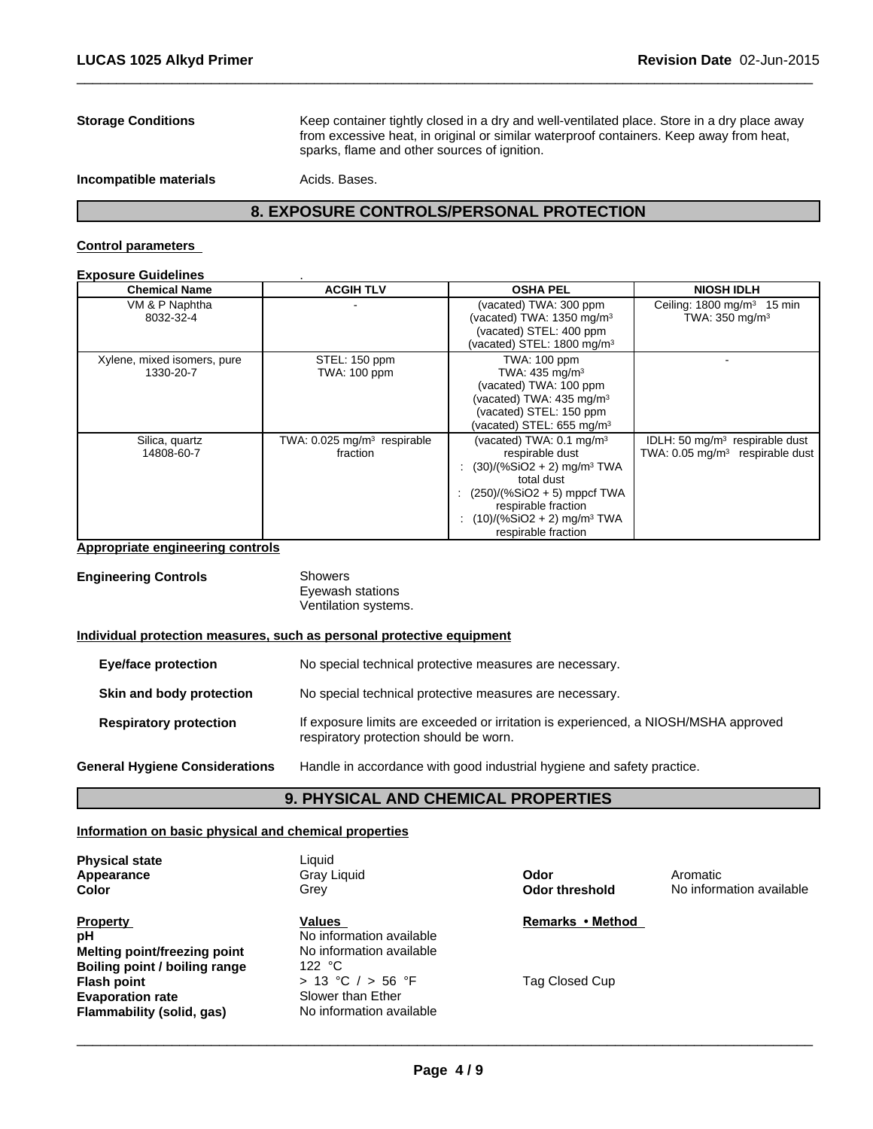**Storage Conditions** Keep container tightly closed in a dry and well-ventilated place. Store in a dry place away from excessive heat, in original or similar waterproof containers. Keep away from heat, sparks, flame and other sources of ignition.

 $\overline{\phantom{a}}$  ,  $\overline{\phantom{a}}$  ,  $\overline{\phantom{a}}$  ,  $\overline{\phantom{a}}$  ,  $\overline{\phantom{a}}$  ,  $\overline{\phantom{a}}$  ,  $\overline{\phantom{a}}$  ,  $\overline{\phantom{a}}$  ,  $\overline{\phantom{a}}$  ,  $\overline{\phantom{a}}$  ,  $\overline{\phantom{a}}$  ,  $\overline{\phantom{a}}$  ,  $\overline{\phantom{a}}$  ,  $\overline{\phantom{a}}$  ,  $\overline{\phantom{a}}$  ,  $\overline{\phantom{a}}$ 

**Incompatible materials** Acids. Bases.

### **8. EXPOSURE CONTROLS/PERSONAL PROTECTION**

### **Control parameters**

| <b>Exposure Guidelines</b> |
|----------------------------|
|----------------------------|

| <b>Chemical Name</b>        | <b>ACGIH TLV</b>                          | <b>OSHA PEL</b>                            | <b>NIOSH IDLH</b>                              |
|-----------------------------|-------------------------------------------|--------------------------------------------|------------------------------------------------|
| VM & P Naphtha              |                                           | (vacated) TWA: 300 ppm                     | Ceiling: $1800 \text{ mg/m}^3$ 15 min          |
| 8032-32-4                   |                                           | (vacated) TWA: 1350 mg/m <sup>3</sup>      | TWA: 350 mg/m <sup>3</sup>                     |
|                             |                                           | (vacated) STEL: 400 ppm                    |                                                |
|                             |                                           | (vacated) STEL: 1800 mg/m <sup>3</sup>     |                                                |
| Xylene, mixed isomers, pure | STEL: 150 ppm                             | <b>TWA: 100 ppm</b>                        |                                                |
| 1330-20-7                   | <b>TWA: 100 ppm</b>                       | TWA: $435 \text{ mg/m}^3$                  |                                                |
|                             |                                           | (vacated) TWA: 100 ppm                     |                                                |
|                             |                                           | (vacated) TWA: 435 mg/m <sup>3</sup>       |                                                |
|                             |                                           | (vacated) STEL: 150 ppm                    |                                                |
|                             |                                           | (vacated) STEL: 655 mg/m <sup>3</sup>      |                                                |
| Silica, quartz              | TWA: $0.025$ mg/m <sup>3</sup> respirable | (vacated) TWA: 0.1 mg/m <sup>3</sup>       | IDLH: 50 mg/m <sup>3</sup> respirable dust     |
| 14808-60-7                  | fraction                                  | respirable dust                            | TWA: 0.05 mg/m <sup>3</sup><br>respirable dust |
|                             |                                           | : $(30)/(%SiO2 + 2)$ mg/m <sup>3</sup> TWA |                                                |
|                             |                                           | total dust                                 |                                                |
|                             |                                           | : $(250)/(%SiO2 + 5)$ mppcf TWA            |                                                |
|                             |                                           | respirable fraction                        |                                                |
|                             |                                           | : $(10)/(%SiO2 + 2)$ mg/m <sup>3</sup> TWA |                                                |
|                             |                                           | respirable fraction                        |                                                |

### **Appropriate engineering controls**

| <b>Engineering Controls</b> | Showers              |  |
|-----------------------------|----------------------|--|
|                             | Eyewash stations     |  |
|                             | Ventilation systems. |  |
|                             |                      |  |

### **Individual protection measures, such as personal protective equipment**

| <b>Eye/face protection</b>            | No special technical protective measures are necessary.                                                                       |
|---------------------------------------|-------------------------------------------------------------------------------------------------------------------------------|
| Skin and body protection              | No special technical protective measures are necessary.                                                                       |
| <b>Respiratory protection</b>         | If exposure limits are exceeded or irritation is experienced, a NIOSH/MSHA approved<br>respiratory protection should be worn. |
| <b>General Hygiene Considerations</b> | Handle in accordance with good industrial hygiene and safety practice.                                                        |

### **9. PHYSICAL AND CHEMICAL PROPERTIES**

### **Information on basic physical and chemical properties**

| <b>Physical state</b><br>Appearance<br>Color                                                  | Liauid<br>Gray Liquid<br>Grey                                            | Odor<br>Odor threshold | Aromatic<br>No information available |
|-----------------------------------------------------------------------------------------------|--------------------------------------------------------------------------|------------------------|--------------------------------------|
| <b>Property</b><br>рH<br><b>Melting point/freezing point</b><br>Boiling point / boiling range | Values<br>No information available<br>No information available<br>122 °C | Remarks • Method       |                                      |
| <b>Flash point</b><br><b>Evaporation rate</b><br>Flammability (solid, gas)                    | > 13 °C / > 56 °F<br>Slower than Ether<br>No information available       | Tag Closed Cup         |                                      |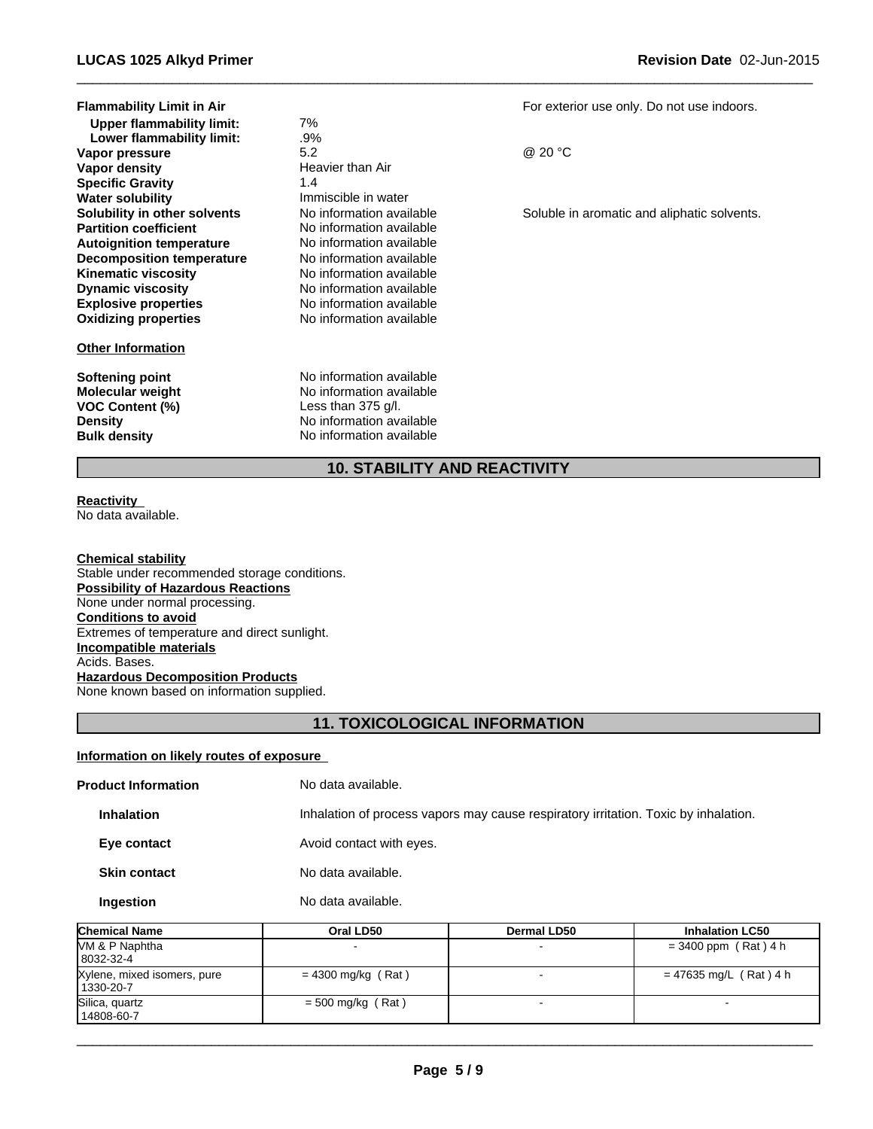| Flammability Limit in Air        |                          | For exter |
|----------------------------------|--------------------------|-----------|
| Upper flammability limit:        | 7%                       |           |
| Lower flammability limit:        | .9%                      |           |
| Vapor pressure                   | 5.2                      | @ 20 °C   |
| Vapor density                    | Heavier than Air         |           |
| <b>Specific Gravity</b>          | 1.4                      |           |
| Water solubility                 | Immiscible in water      |           |
| Solubility in other solvents     | No information available | Soluble i |
| <b>Partition coefficient</b>     | No information available |           |
| <b>Autoignition temperature</b>  | No information available |           |
| <b>Decomposition temperature</b> | No information available |           |
| Kinematic viscosity              | No information available |           |
| <b>Dynamic viscosity</b>         | No information available |           |
| <b>Explosive properties</b>      | No information available |           |
| <b>Oxidizing properties</b>      | No information available |           |
| <b>Other Information</b>         |                          |           |
| Softening point                  | No information available |           |
| Molecular weight                 | No information available |           |
| VOC Content (%)                  | Less than $375$ g/l.     |           |
| Density                          | No information available |           |
| Bulk density                     | No information available |           |

For exterior use only. Do not use indoors.

 $\overline{\phantom{a}}$  ,  $\overline{\phantom{a}}$  ,  $\overline{\phantom{a}}$  ,  $\overline{\phantom{a}}$  ,  $\overline{\phantom{a}}$  ,  $\overline{\phantom{a}}$  ,  $\overline{\phantom{a}}$  ,  $\overline{\phantom{a}}$  ,  $\overline{\phantom{a}}$  ,  $\overline{\phantom{a}}$  ,  $\overline{\phantom{a}}$  ,  $\overline{\phantom{a}}$  ,  $\overline{\phantom{a}}$  ,  $\overline{\phantom{a}}$  ,  $\overline{\phantom{a}}$  ,  $\overline{\phantom{a}}$ 

Soluble in aromatic and aliphatic solvents.

### **10. STABILITY AND REACTIVITY**

## **Reactivity**

No data available.

#### **Chemical stability**

Stable under recommended storage conditions. **Possibility of Hazardous Reactions** None under normal processing. **Conditions to avoid** Extremes of temperature and direct sunlight. **Incompatible materials** Acids. Bases. **Hazardous Decomposition Products** None known based on information supplied.

### **11. TOXICOLOGICAL INFORMATION**

### **Information on likely routes of exposure**

| <b>Product Information</b>                                                                               | No data available.       |                    |                        |  |
|----------------------------------------------------------------------------------------------------------|--------------------------|--------------------|------------------------|--|
| Inhalation of process vapors may cause respiratory irritation. Toxic by inhalation.<br><b>Inhalation</b> |                          |                    |                        |  |
| Eye contact                                                                                              | Avoid contact with eyes. | No data available. |                        |  |
| <b>Skin contact</b>                                                                                      |                          |                    |                        |  |
| Ingestion                                                                                                | No data available.       |                    |                        |  |
| Chemical Name                                                                                            | Oral LD50                | Dermal LD50        | <b>Inhalation LC50</b> |  |
| VM & P Naphtha<br>8032-32-4                                                                              |                          |                    | $= 3400$ ppm (Rat) 4 h |  |

| 18032-32-4                               |                      |                       |  |
|------------------------------------------|----------------------|-----------------------|--|
| Xylene, mixed isomers, pure<br>1330-20-7 | $= 4300$ mg/kg (Rat) | = 47635 mg/L (Rat)4 h |  |
| Silica, quartz<br>14808-60-7             | $=$ 500 mg/kg (Rat)  |                       |  |
|                                          |                      |                       |  |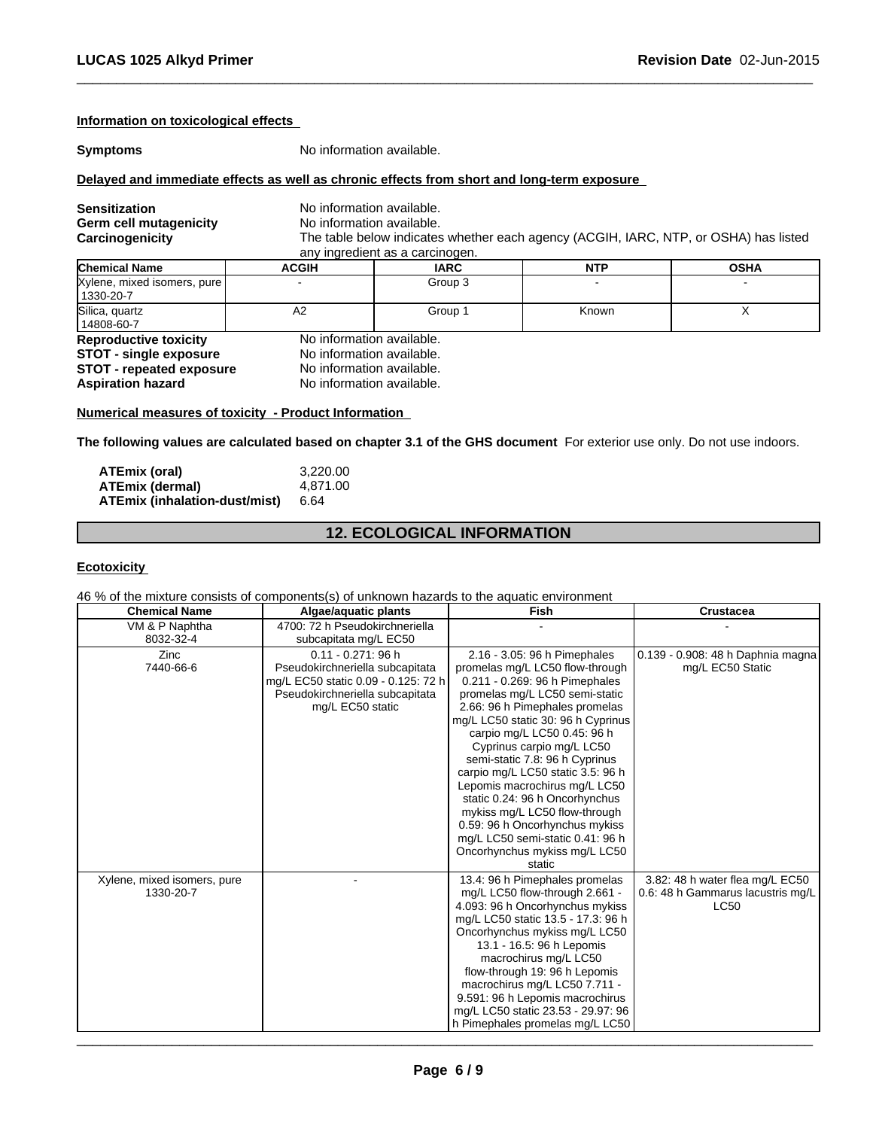### **Information on toxicological effects**

**Symptoms** No information available.

### **Delayed and immediate effects as well as chronic effects from short and long-term exposure**

| <b>Sensitization</b><br>Germ cell mutagenicity<br>Carcinogenicity |              | No information available.<br>No information available.<br>The table below indicates whether each agency (ACGIH, IARC, NTP, or OSHA) has listed<br>any ingredient as a carcinogen. |            |             |  |  |
|-------------------------------------------------------------------|--------------|-----------------------------------------------------------------------------------------------------------------------------------------------------------------------------------|------------|-------------|--|--|
| <b>Chemical Name</b>                                              | <b>ACGIH</b> | <b>IARC</b>                                                                                                                                                                       | <b>NTP</b> | <b>OSHA</b> |  |  |
| Xylene, mixed isomers, pure<br>1330-20-7                          |              | Group 3                                                                                                                                                                           |            |             |  |  |
| Silica, quartz<br>14808-60-7                                      | A2           | Group 1                                                                                                                                                                           | Known      |             |  |  |
| <b>Reproductive toxicity</b><br><b>STOT - single exposure</b>     |              | No information available.<br>No information available.                                                                                                                            |            |             |  |  |
| <b>STOT - repeated exposure</b><br><b>Aspiration hazard</b>       |              | No information available.<br>No information available.                                                                                                                            |            |             |  |  |

 $\overline{\phantom{a}}$  ,  $\overline{\phantom{a}}$  ,  $\overline{\phantom{a}}$  ,  $\overline{\phantom{a}}$  ,  $\overline{\phantom{a}}$  ,  $\overline{\phantom{a}}$  ,  $\overline{\phantom{a}}$  ,  $\overline{\phantom{a}}$  ,  $\overline{\phantom{a}}$  ,  $\overline{\phantom{a}}$  ,  $\overline{\phantom{a}}$  ,  $\overline{\phantom{a}}$  ,  $\overline{\phantom{a}}$  ,  $\overline{\phantom{a}}$  ,  $\overline{\phantom{a}}$  ,  $\overline{\phantom{a}}$ 

### **Numerical measures of toxicity - Product Information**

**The following values are calculated based on chapter 3.1 of the GHS document** For exterior use only. Do not use indoors.

| <b>ATEmix (oral)</b>          | 3.220.00 |
|-------------------------------|----------|
| <b>ATEmix (dermal)</b>        | 4.871.00 |
| ATEmix (inhalation-dust/mist) | 6.64     |

### **12. ECOLOGICAL INFORMATION**

#### **Ecotoxicity**

46 % of the mixture consists of components(s) of unknown hazards to the aquatic environment

| <b>Chemical Name</b>        | Algae/aquatic plants                | <b>Fish</b>                        | Crustacea                         |
|-----------------------------|-------------------------------------|------------------------------------|-----------------------------------|
| VM & P Naphtha              | 4700: 72 h Pseudokirchneriella      |                                    |                                   |
| 8032-32-4                   | subcapitata mg/L EC50               |                                    |                                   |
| Zinc                        | $0.11 - 0.271$ : 96 h               | 2.16 - 3.05: 96 h Pimephales       | 0.139 - 0.908: 48 h Daphnia magna |
| 7440-66-6                   | Pseudokirchneriella subcapitata     | promelas mg/L LC50 flow-through    | mg/L EC50 Static                  |
|                             | mg/L EC50 static 0.09 - 0.125: 72 h | 0.211 - 0.269: 96 h Pimephales     |                                   |
|                             | Pseudokirchneriella subcapitata     | promelas mg/L LC50 semi-static     |                                   |
|                             | mg/L EC50 static                    | 2.66: 96 h Pimephales promelas     |                                   |
|                             |                                     | mg/L LC50 static 30: 96 h Cyprinus |                                   |
|                             |                                     | carpio mg/L LC50 0.45: 96 h        |                                   |
|                             |                                     | Cyprinus carpio mg/L LC50          |                                   |
|                             |                                     | semi-static 7.8: 96 h Cyprinus     |                                   |
|                             |                                     | carpio mg/L LC50 static 3.5: 96 h  |                                   |
|                             |                                     | Lepomis macrochirus mg/L LC50      |                                   |
|                             |                                     | static 0.24: 96 h Oncorhynchus     |                                   |
|                             |                                     | mykiss mg/L LC50 flow-through      |                                   |
|                             |                                     | 0.59: 96 h Oncorhynchus mykiss     |                                   |
|                             |                                     | mg/L LC50 semi-static 0.41: 96 h   |                                   |
|                             |                                     | Oncorhynchus mykiss mg/L LC50      |                                   |
|                             |                                     | static                             |                                   |
| Xylene, mixed isomers, pure |                                     | 13.4: 96 h Pimephales promelas     | 3.82: 48 h water flea mg/L EC50   |
| 1330-20-7                   |                                     | mg/L LC50 flow-through 2.661 -     | 0.6: 48 h Gammarus lacustris mg/L |
|                             |                                     | 4.093: 96 h Oncorhynchus mykiss    | <b>LC50</b>                       |
|                             |                                     | mg/L LC50 static 13.5 - 17.3: 96 h |                                   |
|                             |                                     | Oncorhynchus mykiss mg/L LC50      |                                   |
|                             |                                     | 13.1 - 16.5: 96 h Lepomis          |                                   |
|                             |                                     | macrochirus mg/L LC50              |                                   |
|                             |                                     | flow-through 19: 96 h Lepomis      |                                   |
|                             |                                     | macrochirus mg/L LC50 7.711 -      |                                   |
|                             |                                     | 9.591: 96 h Lepomis macrochirus    |                                   |
|                             |                                     | mg/L LC50 static 23.53 - 29.97: 96 |                                   |
|                             |                                     | h Pimephales promelas mg/L LC50    |                                   |

 $\overline{\phantom{a}}$  , and the contribution of the contribution of the contribution of the contribution of the contribution of the contribution of the contribution of the contribution of the contribution of the contribution of the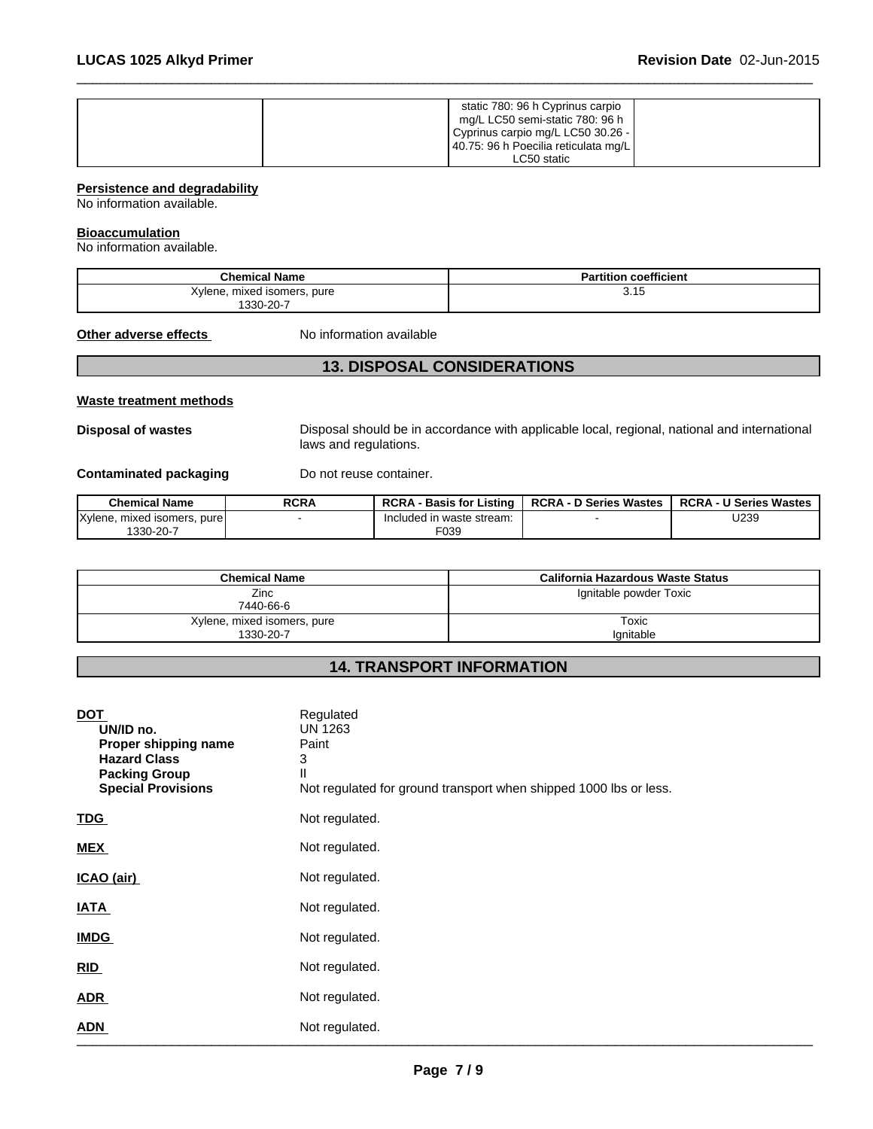| static 780: 96 h Cyprinus carpio     |  |
|--------------------------------------|--|
| mg/L LC50 semi-static 780: 96 h      |  |
| Cyprinus carpio mg/L LC50 30.26 -    |  |
| 40.75: 96 h Poecilia reticulata mg/L |  |
| LC50 static                          |  |

 $\overline{\phantom{a}}$  ,  $\overline{\phantom{a}}$  ,  $\overline{\phantom{a}}$  ,  $\overline{\phantom{a}}$  ,  $\overline{\phantom{a}}$  ,  $\overline{\phantom{a}}$  ,  $\overline{\phantom{a}}$  ,  $\overline{\phantom{a}}$  ,  $\overline{\phantom{a}}$  ,  $\overline{\phantom{a}}$  ,  $\overline{\phantom{a}}$  ,  $\overline{\phantom{a}}$  ,  $\overline{\phantom{a}}$  ,  $\overline{\phantom{a}}$  ,  $\overline{\phantom{a}}$  ,  $\overline{\phantom{a}}$ 

### **Persistence and degradability**

No information available.

#### **Bioaccumulation**

No information available.

| <b>Chemical Name</b>              | <b>Partition coefficient</b> |
|-----------------------------------|------------------------------|
| Kylene.<br>pure<br>mixed isomers, | 3.15                         |
| 1330-20-7                         |                              |

**Other adverse effects** No information available

### **13. DISPOSAL CONSIDERATIONS**

### **Waste treatment methods**

**Disposal of wastes** Disposal should be in accordance with applicable local, regional, national and international laws and regulations.

**Contaminated packaging** Do not reuse container.

| <b>Chemical Name</b>                     | <b>RCRA</b> | <b>RCRA</b><br><b>Basis for Listing</b> | <b>RCRA - D Series Wastes</b> | <b>RCRA - U Series Wastes</b> |
|------------------------------------------|-------------|-----------------------------------------|-------------------------------|-------------------------------|
| <b>IXvlene</b><br>mixed isomers.<br>pure |             | Included in waste stream:               |                               | J239                          |
| 1330-20-7                                |             | F039                                    |                               |                               |

| <b>Chemical Name</b>                     | California Hazardous Waste Status |
|------------------------------------------|-----------------------------------|
| Zinc<br>7440-66-6                        | Ignitable powder Toxic            |
| Xylene, mixed isomers, pure<br>1330-20-7 | Toxic<br>lanitable                |

### **14. TRANSPORT INFORMATION**

| <b>DOT</b><br>UN/ID no.<br>Proper shipping name<br><b>Hazard Class</b><br><b>Packing Group</b><br><b>Special Provisions</b> | Regulated<br><b>UN 1263</b><br>Paint<br>3<br>П<br>Not regulated for ground transport when shipped 1000 lbs or less. |
|-----------------------------------------------------------------------------------------------------------------------------|---------------------------------------------------------------------------------------------------------------------|
| <b>TDG</b>                                                                                                                  | Not regulated.                                                                                                      |
| <b>MEX</b>                                                                                                                  | Not regulated.                                                                                                      |
| ICAO (air)                                                                                                                  | Not regulated.                                                                                                      |
| <b>IATA</b>                                                                                                                 | Not regulated.                                                                                                      |
| <b>IMDG</b>                                                                                                                 | Not regulated.                                                                                                      |
| RID                                                                                                                         | Not regulated.                                                                                                      |
| <b>ADR</b>                                                                                                                  | Not regulated.                                                                                                      |
| <b>ADN</b>                                                                                                                  | Not regulated.                                                                                                      |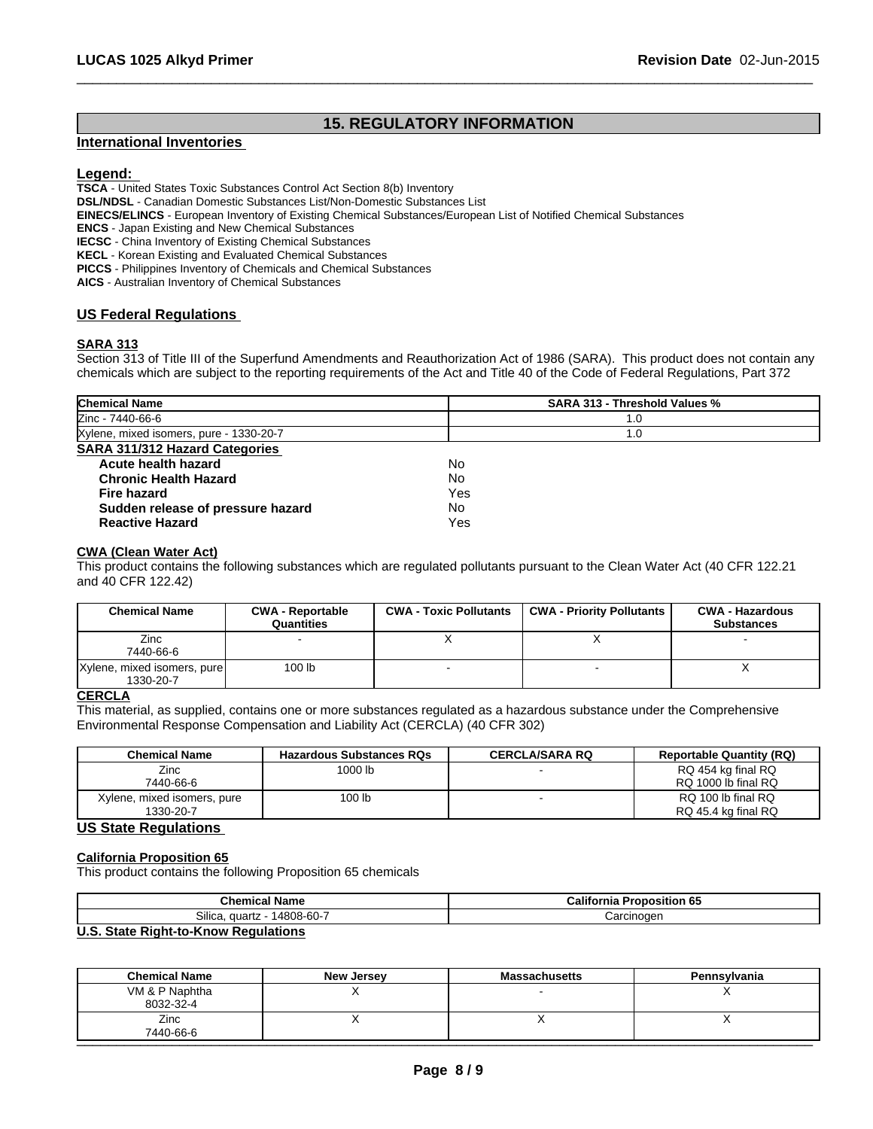### **15. REGULATORY INFORMATION**

 $\overline{\phantom{a}}$  ,  $\overline{\phantom{a}}$  ,  $\overline{\phantom{a}}$  ,  $\overline{\phantom{a}}$  ,  $\overline{\phantom{a}}$  ,  $\overline{\phantom{a}}$  ,  $\overline{\phantom{a}}$  ,  $\overline{\phantom{a}}$  ,  $\overline{\phantom{a}}$  ,  $\overline{\phantom{a}}$  ,  $\overline{\phantom{a}}$  ,  $\overline{\phantom{a}}$  ,  $\overline{\phantom{a}}$  ,  $\overline{\phantom{a}}$  ,  $\overline{\phantom{a}}$  ,  $\overline{\phantom{a}}$ 

### **International Inventories**

### **Legend:**

**TSCA** - United States Toxic Substances Control Act Section 8(b) Inventory

**DSL/NDSL** - Canadian Domestic Substances List/Non-Domestic Substances List

**EINECS/ELINCS** - European Inventory of Existing Chemical Substances/European List of Notified Chemical Substances

**ENCS** - Japan Existing and New Chemical Substances

**IECSC** - China Inventory of Existing Chemical Substances

**KECL** - Korean Existing and Evaluated Chemical Substances

**PICCS** - Philippines Inventory of Chemicals and Chemical Substances

**AICS** - Australian Inventory of Chemical Substances

### **US Federal Regulations**

### **SARA 313**

Section 313 of Title III of the Superfund Amendments and Reauthorization Act of 1986 (SARA). This product does not contain any chemicals which are subject to the reporting requirements of the Act and Title 40 of the Code of Federal Regulations, Part 372

| <b>Chemical Name</b>                    | <b>SARA 313 - Threshold Values %</b> |  |
|-----------------------------------------|--------------------------------------|--|
| Zinc - 7440-66-6                        | 1.0                                  |  |
| Xylene, mixed isomers, pure - 1330-20-7 | 1.0                                  |  |
| SARA 311/312 Hazard Categories          |                                      |  |
| Acute health hazard                     | No                                   |  |
| <b>Chronic Health Hazard</b>            | No                                   |  |
| <b>Fire hazard</b>                      | Yes                                  |  |
| Sudden release of pressure hazard       | No                                   |  |
| <b>Reactive Hazard</b>                  | Yes                                  |  |

### **CWA (Clean Water Act)**

This product contains the following substances which are regulated pollutants pursuant to the Clean Water Act (40 CFR 122.21 and 40 CFR 122.42)

| <b>Chemical Name</b>        | <b>CWA - Reportable</b><br>Quantities | <b>CWA - Toxic Pollutants</b> | <b>CWA - Priority Pollutants</b> | <b>CWA - Hazardous</b><br><b>Substances</b> |
|-----------------------------|---------------------------------------|-------------------------------|----------------------------------|---------------------------------------------|
| Zinc<br>7440-66-6           |                                       |                               |                                  |                                             |
| Xylene, mixed isomers, pure | 100 lb                                |                               |                                  |                                             |
| 1330-20-7                   |                                       |                               |                                  |                                             |

### **CERCLA**

This material, as supplied, contains one or more substances regulated as a hazardous substance under the Comprehensive Environmental Response Compensation and Liability Act (CERCLA) (40 CFR 302)

| <b>Chemical Name</b>        | <b>Hazardous Substances RQs</b> | <b>CERCLA/SARA RQ</b> | <b>Reportable Quantity (RQ)</b> |
|-----------------------------|---------------------------------|-----------------------|---------------------------------|
| Zinc                        | 1000 lb                         |                       | RQ 454 kg final RQ              |
| 7440-66-6                   |                                 |                       | RQ 1000 lb final RQ             |
| Xylene, mixed isomers, pure | 100 lb                          |                       | RQ 100 lb final RQ              |
| 1330-20-7                   |                                 |                       | RQ 45.4 kg final RQ             |

### **US State Regulations**

### **California Proposition 65**

This product contains the following Proposition 65 chemicals

| 'hom<br>∣ Name<br>– ∪⊓emicar ∶ | <br>Calif<br>osition 65<br>.<br>ornia<br>тов |
|--------------------------------|----------------------------------------------|
| Silica<br>14808-60-7<br>quartz | :arcinoaer                                   |

### **U.S. State Right-to-Know Regulations**

| <b>Chemical Name</b>        | New Jersey | <b>Massachusetts</b> | Pennsylvania |
|-----------------------------|------------|----------------------|--------------|
| VM & P Naphtha<br>8032-32-4 |            |                      |              |
| Zinc<br>7440-66-6           | ,,         |                      |              |